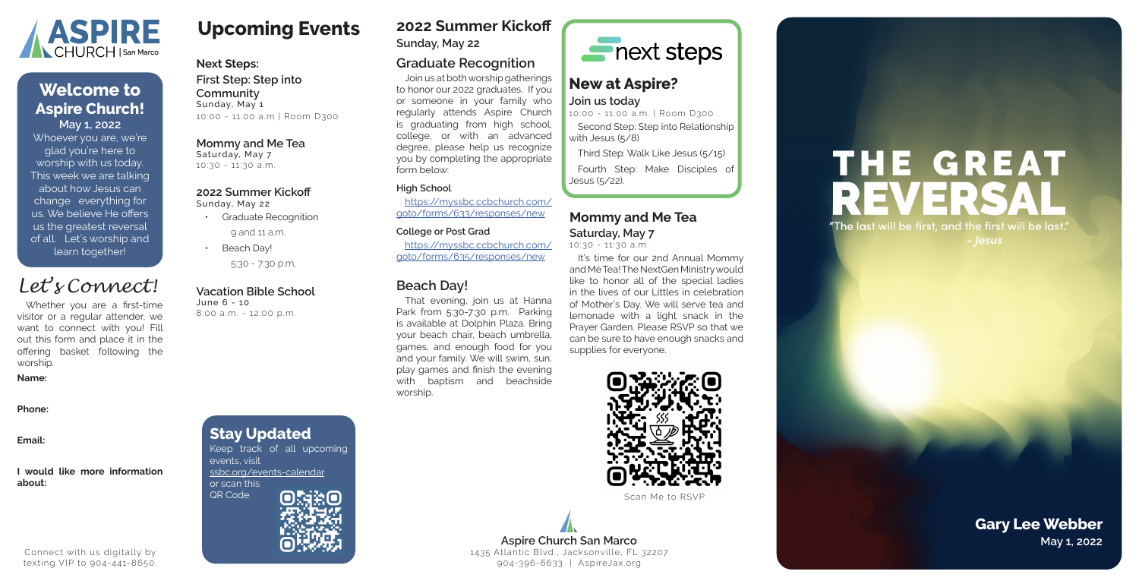# **Upcoming Events**

### **Next Steps:**

**First Step: Step into Community** Sunday, May 1 10:00 - 11:00 a.m | Room D300

- Graduate Recognition
	- 9 and 11 a.m.
- Beach Day!

### **Mommy and Me Tea**

Saturday, May 7 10:30 - 11:30 a.m.

### **2022 Summer Kickoff**

Sunday, May 22

5:30 - 7:30 p.m,

### **Vacation Bible School**

June 6 - 10 8:00 a.m. - 12:00 p.m.

### **Mommy and Me Tea**

It's time for our 2nd Annual Mommy and Me Tea! The NextGen Ministry would like to honor all of the special ladies in the lives of our Littles in celebration of Mother's Day. We will serve tea and lemonade with a light snack in the Prayer Garden. Please RSVP so that we can be sure to have enough snacks and supplies for everyone.



**Saturday, May 7** 10:30 - 11:30 a.m.



**Sunday, May 22**

### **Graduate Recognition**

Join us at both worship gatherings to honor our 2022 graduates. If you or someone in your family who regularly attends Aspire Church is graduating from high school, college, or with an advanced degree, please help us recognize you by completing the appropriate form below:

> **Aspire Church San Marco May 1, 2022** 1435 Atlantic Blvd., Jacksonville, FL 32207 904-396-6633 | AspireJax.org

### **High School**

https://myssbc.ccbchurch.com/ goto/forms/633/responses/new

### **College or Post Grad**

https://myssbc.ccbchurch.com/ goto/forms/635/responses/new

### **Stay Updated** Keep track of all upcoming events, visit ssbc.org/events-calendar or scan this QR Code  $\bigcap_{\alpha}$   $\bigcap_{\alpha}$   $\bigcap_{\alpha}$   $\bigcap_{\alpha}$   $\bigcap_{\alpha}$   $\bigcap_{\alpha}$   $\bigcap_{\alpha}$   $\bigcap_{\alpha}$   $\bigcap_{\alpha}$   $\bigcap_{\alpha}$   $\bigcap_{\alpha}$   $\bigcap_{\alpha}$   $\bigcap_{\alpha}$   $\bigcap_{\alpha}$   $\bigcap_{\alpha}$   $\bigcap_{\alpha}$   $\bigcap_{\alpha}$   $\bigcap_{\alpha}$   $\bigcap_{\alpha}$   $\bigcap_{\alpha}$   $\bigcap_{\alpha}$   $\bigcap$



# **THE GREAT** REVERS "The last will be first, and the first will be last." - |esus

### **Beach Day!**

That evening, join us at Hanna Park from 5:30-7:30 p.m. Parking is available at Dolphin Plaza. Bring your beach chair, beach umbrella, games, and enough food for you and your family. We will swim, sun, play games and finish the evening with baptism and beachside worship.



### **New at Aspire? Join us today**

10:00 - 11:00 a.m. | Room D300 Second Step: Step into Relationship with Jesus (5/8)

Third Step: Walk Like Jesus (5/15)

Fourth Step: Make Disciples of Jesus (5/22).

Whoever you are, we're glad you're here to worship with us today. This week we are talking about how Jesus can change everything for us. We believe He offers us the greatest reversal of all. Let's worship and learn together!



### **May 1, 2022 Welcome to Aspire Church!**

# **Gary Lee Webber**

Whether you are a first-time visitor or a regular attender, we want to connect with you! Fill out this form and place it in the offering basket following the worship.

### **Name:**

**Phone:**

**Email:**

### **I would like more information about:**

# *Let's Connect!*

Connect with us digitally by texting VIP to 904-441-8650.